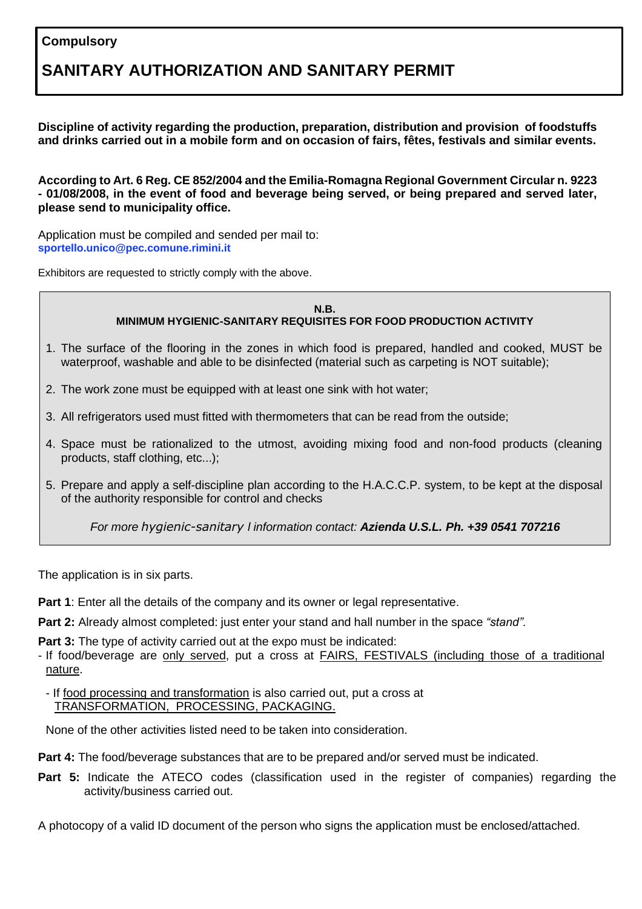## **Compulsory**

# **SANITARY AUTHORIZATION AND SANITARY PERMIT**

**Discipline of activity regarding the production, preparation, distribution and provision of foodstuffs and drinks carried out in a mobile form and on occasion of fairs, fêtes, festivals and similar events.**

**According to Art. 6 Reg. CE 852/2004 and the Emilia-Romagna Regional Government Circular n. 9223 - 01/08/2008, in the event of food and beverage being served, or being prepared and served later, please send to municipality office.**

Application must be compiled and sended per mail to: **[sportello.unico@pec.comune.rimini.it](mailto:sportello.unico@pec.comune.rimini.it)**

Exhibitors are requested to strictly comply with the above.

#### **N.B. MINIMUM HYGIENIC-SANITARY REQUISITES FOR FOOD PRODUCTION ACTIVITY**

- 1. The surface of the flooring in the zones in which food is prepared, handled and cooked, MUST be waterproof, washable and able to be disinfected (material such as carpeting is NOT suitable);
- 2. The work zone must be equipped with at least one sink with hot water;
- 3. All refrigerators used must fitted with thermometers that can be read from the outside;
- 4. Space must be rationalized to the utmost, avoiding mixing food and non-food products (cleaning products, staff clothing, etc...);
- 5. Prepare and apply a self-discipline plan according to the H.A.C.C.P. system, to be kept at the disposal of the authority responsible for control and checks

*For more hygienic-sanitary l information contact: Azienda U.S.L. Ph. +39 0541 707216*

The application is in six parts.

**Part 1**: Enter all the details of the company and its owner or legal representative.

**Part 2:** Already almost completed: just enter your stand and hall number in the space *"stand".*

**Part 3:** The type of activity carried out at the expo must be indicated:

- If food/beverage are only served, put a cross at **FAIRS, FESTIVALS** (including those of a traditional nature.

- If food processing and transformation is also carried out, put a cross at TRANSFORMATION, PROCESSING, PACKAGING.

None of the other activities listed need to be taken into consideration.

**Part 4:** The food/beverage substances that are to be prepared and/or served must be indicated.

**Part 5:** Indicate the ATECO codes (classification used in the register of companies) regarding the activity/business carried out.

A photocopy of a valid ID document of the person who signs the application must be enclosed/attached.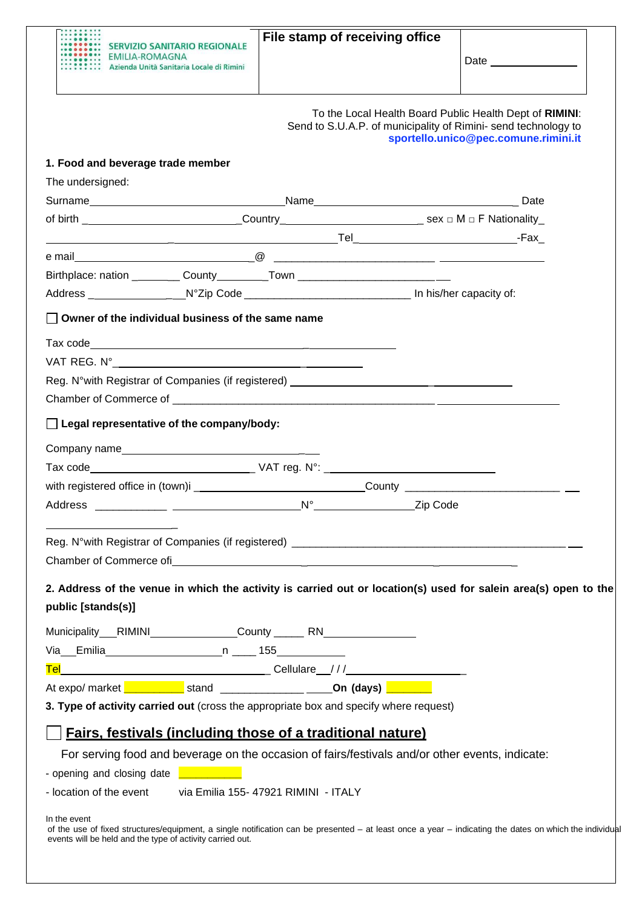| <b>SERVIZIO SANITARIO REGIONALE</b>                                              | File stamp of receiving office |                                                                                                                                                                   |  |
|----------------------------------------------------------------------------------|--------------------------------|-------------------------------------------------------------------------------------------------------------------------------------------------------------------|--|
| EMILIA-ROMAGNA<br>Azienda Unità Sanitaria Locale di Rimini                       |                                |                                                                                                                                                                   |  |
|                                                                                  |                                |                                                                                                                                                                   |  |
|                                                                                  |                                | To the Local Health Board Public Health Dept of RIMINI:<br>Send to S.U.A.P. of municipality of Rimini- send technology to<br>sportello.unico@pec.comune.rimini.it |  |
| 1. Food and beverage trade member                                                |                                |                                                                                                                                                                   |  |
| The undersigned:                                                                 |                                |                                                                                                                                                                   |  |
|                                                                                  |                                |                                                                                                                                                                   |  |
|                                                                                  |                                |                                                                                                                                                                   |  |
|                                                                                  |                                |                                                                                                                                                                   |  |
| Birthplace: nation ___________ County___________Town ___________________________ |                                |                                                                                                                                                                   |  |
|                                                                                  |                                |                                                                                                                                                                   |  |
|                                                                                  |                                |                                                                                                                                                                   |  |
| $\Box$ Owner of the individual business of the same name                         |                                |                                                                                                                                                                   |  |
|                                                                                  |                                |                                                                                                                                                                   |  |
|                                                                                  |                                |                                                                                                                                                                   |  |
| Reg. N°with Registrar of Companies (if registered) _____________________________ |                                |                                                                                                                                                                   |  |
|                                                                                  |                                |                                                                                                                                                                   |  |
| Legal representative of the company/body:                                        |                                |                                                                                                                                                                   |  |
| Company name                                                                     |                                |                                                                                                                                                                   |  |
|                                                                                  |                                |                                                                                                                                                                   |  |
|                                                                                  |                                |                                                                                                                                                                   |  |
|                                                                                  |                                |                                                                                                                                                                   |  |
|                                                                                  |                                |                                                                                                                                                                   |  |
|                                                                                  |                                |                                                                                                                                                                   |  |

| Municipality RIMINI      |       | County _________ RN |
|--------------------------|-------|---------------------|
| Via<br>Emilia            | 155   |                     |
| Tel                      |       | Cellulare ///       |
| At expo/ market <b>[</b> | stand | On (days)           |

**3. Type of activity carried out** (cross the appropriate box and specify where request)

# **Fairs, festivals (including those of a traditional nature)**

For serving food and beverage on the occasion of fairs/festivals and/or other events, indicate:

- opening and closing date **\_\_\_\_\_\_\_\_\_\_\_**

- location of the event via Emilia 155- 47921 RIMINI - ITALY

In the event

of the use of fixed structures/equipment, a single notification can be presented – at least once a year – indicating the dates on which the individual events will be held and the type of activity carried out.